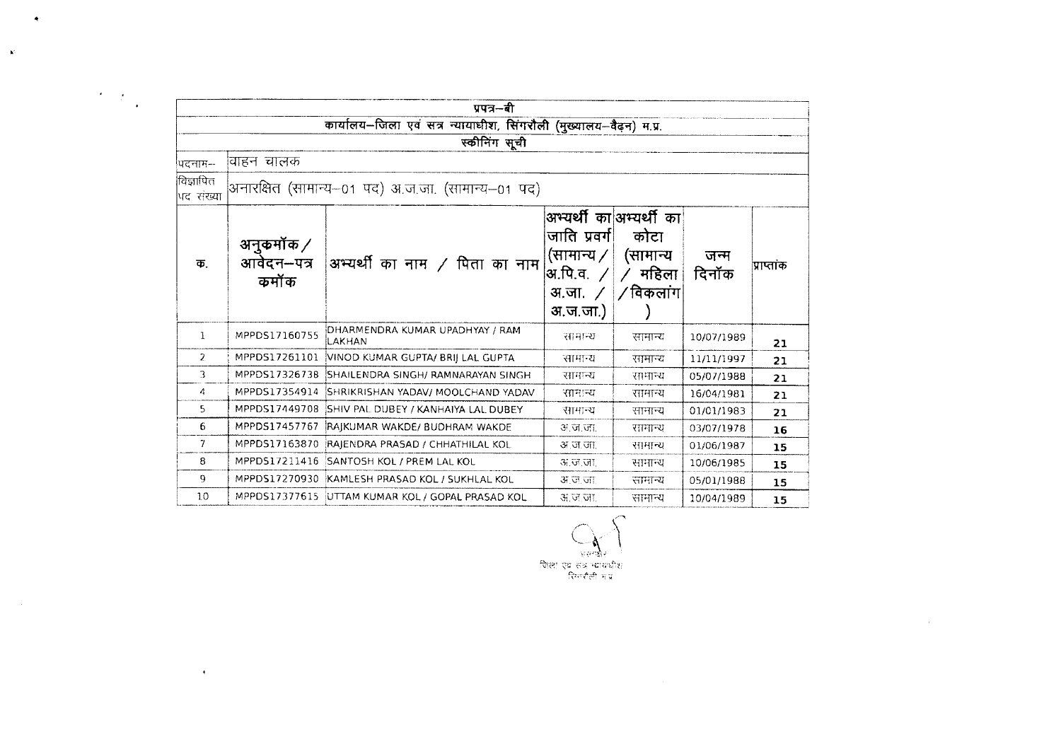|                          |                                          | पपत्र—बी                                                           |                                                                        |                                                                             |               |            |
|--------------------------|------------------------------------------|--------------------------------------------------------------------|------------------------------------------------------------------------|-----------------------------------------------------------------------------|---------------|------------|
|                          |                                          | कार्यालय-जिला एवं सत्र न्यायाधीश, सिंगरौली (मुख्यालय-वैढ़न) म.प्र. |                                                                        |                                                                             |               |            |
|                          |                                          | स्कीनिंग सूची                                                      |                                                                        |                                                                             |               |            |
| पिटनाम—                  | वाहन चालक                                |                                                                    |                                                                        |                                                                             |               |            |
| विज्ञापित<br>पद संख्या   |                                          | अनारक्षित (सामान्य–01 पद) अ.ज.जा. (सामान्य–01 पद)                  |                                                                        |                                                                             |               |            |
| क.                       | अनुकर्मोक $\angle$<br>आवेदन–पत्र<br>कमॉक | अभ्यर्थी का नाम $\,$ पिता का नाम                                   | जाति प्रवर्ग।<br>(सामान्य /  <br>अ.पि.व.<br>अ.जा. $\angle$<br>अ.ज.जा.) | अभ्यर्थी का अभ्यर्थी का<br>कोटा<br>(सामान्य<br>$\angle$ महिला<br>∤∕ विकलांग | जन्म<br>दिनॉक | प्राप्तांक |
| 1                        | MPPDS17160755                            | DHARMENDRA KUMAR UPADHYAY / RAM<br>ILAKHAN                         | सामान्य                                                                | सामान्य                                                                     | 10/07/1989    | 21         |
| 2                        | MPPDS17261101                            | VINOD KUMAR GUPTA/ BRIJ LAL GUPTA                                  | सामान्य                                                                | सामान्य                                                                     | 11/11/1997    | 21         |
| 3                        | MPPDS17326738                            | SHAILENDRA SINGH/ RAMNARAYAN SINGH                                 | सामन्य                                                                 | सामान्य                                                                     | 05/07/1988    | 21         |
| 4                        | MPPDS17354914                            | SHRIKRISHAN YADAV/ MOOLCHAND YADAV                                 | सामान्य                                                                | सामान्य                                                                     | 16/04/1981    | 21         |
| 5.                       | MPPDS17449708                            | SHIV PAL DUBEY / KANHAIYA LAL DUBEY                                | सामान्य                                                                | सामान्य                                                                     | 01/01/1983    | 21         |
| 6                        | MPPDS17457767                            | RAIKUMAR WAKDE/ BUDHRAM WAKDE                                      | अ.ज.जा.                                                                | रामान्य                                                                     | 03/07/1978    | 16         |
| $\overline{\mathcal{L}}$ | MPPDS17163870                            | RAJENDRA PRASAD / CHHATHILAL KOL                                   | अ ज जा                                                                 | सामान्य                                                                     | 01/06/1987    | 15         |
| 8                        |                                          | MPPDS17211416 SANTOSH KOL / PREM LAL KOL                           | अ.ज.जा.                                                                | सामान्य                                                                     | 10/06/1985    | 15         |
| 9                        | MPPDS17270930                            | KAMLESH PRASAD KOL / SUKHLAL KOL                                   | अ.ज.जा                                                                 | सामान्य                                                                     | 05/01/1988    | 15         |
| 10                       |                                          | MPPDS17377615 UTTAM KUMAR KOL / GOPAL PRASAD KOL                   | अ.ज.जा.                                                                | सामान्य                                                                     | 10/04/1989    | 15         |

 $\bullet$ 

 $\label{eq:2} \frac{1}{2} \int_{\mathbb{R}^3} \frac{d^2y}{\sqrt{2\pi}} \, \mathrm{d} y \, \mathrm{d} y \, \mathrm{d} y \, \mathrm{d} y \, \mathrm{d} y \, \mathrm{d} y \, \mathrm{d} y \, \mathrm{d} y \, \mathrm{d} y \, \mathrm{d} y \, \mathrm{d} y \, \mathrm{d} y \, \mathrm{d} y \, \mathrm{d} y \, \mathrm{d} y \, \mathrm{d} y \, \mathrm{d} y \, \mathrm{d} y \, \mathrm{d} y \, \mathrm{d} y \, \mathrm{d} y \, \mathrm{d} y \, \$ 

 $\mathbf{K}^{\mathbf{L}}$ 

 $\sim 10^{11}$ 

 $\mathcal{L}^{\mathcal{L}}$  and  $\mathcal{L}^{\mathcal{L}}$  and  $\mathcal{L}^{\mathcal{L}}$ 

लिला एवं सद न्यायकीश<br>जिला एवं सद न्यायकीश<br>रिगण्डैची मंत्र

 $\sim 10^{11}$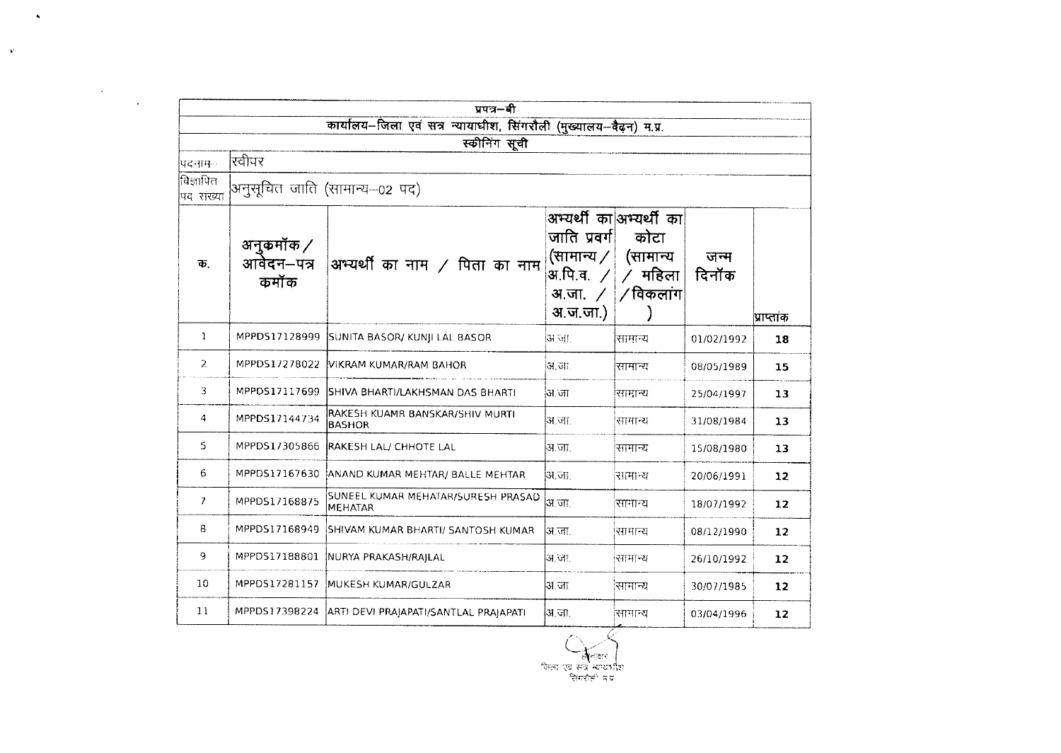|                        |                                 | प्रपत्र-बी                                                         |                                                                                   |                                                                  |               |                   |
|------------------------|---------------------------------|--------------------------------------------------------------------|-----------------------------------------------------------------------------------|------------------------------------------------------------------|---------------|-------------------|
|                        |                                 | कार्यालय-जिला एवं सत्र न्यायाधीश, सिंगरौली (मुख्यालय-वैढ़न) म.प्र. |                                                                                   |                                                                  |               |                   |
|                        |                                 | स्कीनिंग सूची                                                      |                                                                                   |                                                                  |               |                   |
| पदनाम-                 | रिवीपर                          |                                                                    |                                                                                   |                                                                  |               |                   |
| विज्ञापित<br>पद संख्या |                                 | अनुसूचित जाति (सामान्य—02 पद)                                      |                                                                                   |                                                                  |               |                   |
| क.                     | अनुकमॉक ⁄<br>आवेदन–पत्र<br>कमॉक | अभ्यर्थी का नाम $/$ पिता का नाम                                    | जाति प्रवर्ग<br>(सामान्य $\angle$<br>अ.पि.व.<br>अ.जा. $\angle$<br><u>अ.ज.जा.)</u> | अभ्यर्थी का अभ्यर्थी का<br>कोटा<br>(सामान्य<br>महिला<br>/विकलांग | जन्म<br>दिनॉक | प्राप्ताक         |
| 1                      |                                 | MPPD517128999 SUNITA BASOR/ KUNJI LAL BASOR                        | अ.जा.                                                                             | सामान्य                                                          | 01/02/1992    | 18                |
| $\mathbf{Z}$           | MPPDS17278022                   | VIKRAM KUMAR/RAM BAHOR                                             | अ.जा.                                                                             | सामान्य                                                          | 08/05/1989    | 15                |
| 3                      |                                 | MPPDS17117699 SHIVA BHARTI/LAKHSMAN DAS BHARTI                     | अ.जा                                                                              | सामान्य                                                          | 25/04/1997    | 13                |
| 4                      | MPPDS17144734                   | RAKESH KUAMR BANSKAR/SHIV MURTI<br>BASHOR                          | अ.जा.                                                                             | सामान्य                                                          | 31/08/1984    | 13                |
| S.                     | MPPDS17305866                   | RAKESH LAL/ CHHOTE LAL                                             | अ.जा.                                                                             | सामान्य                                                          | 15/08/1980    | 13                |
| 6                      |                                 | MPPDS17167630 ANAND KUMAR MEHTAR/ BALLE MEHTAR                     | ोअ जा                                                                             | सामान्य                                                          | 20/06/1991    | 12                |
| 7                      | MPPDS17168875                   | SUNEEL KUMAR MEHATAR/SURESH PRASAD<br>MEHATAR                      | अ.जा.                                                                             | सामान्य                                                          | 18/07/1992    | 12                |
| 8                      | MPPDS17168949                   | SHIVAM KUMAR BHARTI/ SANTOSH KUMAR                                 | अ जा                                                                              | सामान्य                                                          | 08/12/1990    | 12                |
| 9                      | MPPDS17188801                   | NURYA PRAKASH/RAJLAL                                               | अ.जा.                                                                             | सामान्य                                                          | 26/10/1992    | 12                |
| 10                     |                                 | MPPDS17281157 MUKESH KUMAR/GULZAR                                  | अ.जा.                                                                             | सामान्य                                                          | 30/07/1985    | $12 \overline{ }$ |
| 11                     |                                 | MPPDS17398224 ARTI DEVI PRAJAPATI/SANTLAL PRAJAPATI                | अ.जा.                                                                             | सामान्य                                                          | 03/04/1996    | 12                |

जिला एवं सत्र न्यायधीश<br>जिला एवं सत्र न्यायधीश<br>जिल्लाही न प्र

 $\sim 10^{11}$  K  $_{\odot}$ 

 $\label{eq:3.1} \rho_{\rm{c}} = \frac{1}{\sqrt{2\pi}}\int_{0}^{\pi/2} \frac{d\mu}{\sqrt{2\pi}}\,d\mu$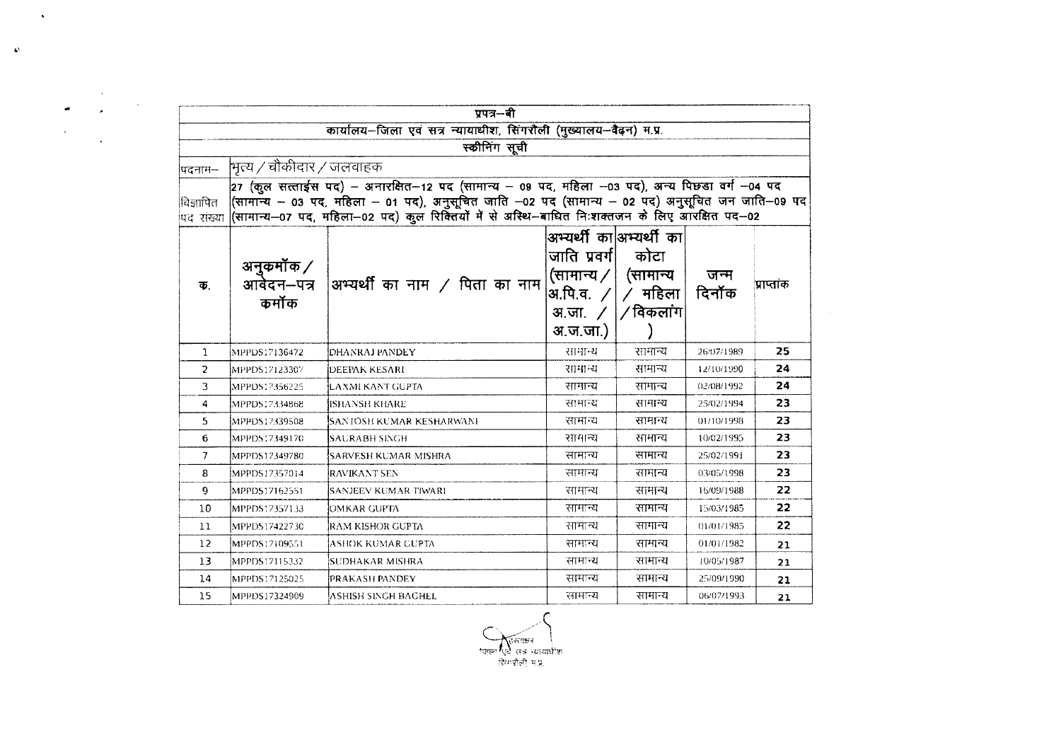| पिदनाम—                |                          | कार्यालय-जिला एवं सत्र न्यायाधीश, सिंगरौली (मुख्यालय-वैढ़न) म.प्र.                                                                                                                                                                                                                                |                                                                                                                     |                                              |               |            |
|------------------------|--------------------------|---------------------------------------------------------------------------------------------------------------------------------------------------------------------------------------------------------------------------------------------------------------------------------------------------|---------------------------------------------------------------------------------------------------------------------|----------------------------------------------|---------------|------------|
|                        |                          |                                                                                                                                                                                                                                                                                                   |                                                                                                                     |                                              |               |            |
|                        |                          | स्कीनिंग सूची                                                                                                                                                                                                                                                                                     |                                                                                                                     |                                              |               |            |
|                        | भित्य / चौकीदार / जलवाहक |                                                                                                                                                                                                                                                                                                   |                                                                                                                     |                                              |               |            |
| विज्ञापित<br>पद संख्या |                          | 27 (कुल सत्ताईस पद) - अनारक्षित-12 पद (सामान्य - 09 पद, महिला -03 पद), अन्य पिछड़ा वर्ग -04 पद<br>(सामान्य – 03 पद, महिला – 01 पद), अनुसूचित जाति –02 पद (सामान्य – 02 पद) अनुसूचित जन जाति–09 पद<br>(सामान्य–07 पद, महिला–02 पद) कुल रिक्तियों में से अस्थि–बाधित निःशक्तजन के लिए आरक्षित पद–02 |                                                                                                                     |                                              |               |            |
| 币.                     | अनुकर्मोक /<br>कर्मोक    | आवेदन–पत्र $\mid$ अभ्यर्थी का नाम / पिता का नाम                                                                                                                                                                                                                                                   | अभ्यर्थी का अभ्यर्थी का<br>जाति प्रवर्ग <br>(सामान्य $\sqrt{}$<br> अ.पि.व. $\angle$  <br>अ.जा. <i>/</i><br>अ.ज.जा.) | कोटा<br>(सामान्य<br>$/$ महिला<br>∣ ∕ विकलांग | जन्म<br>दिनॉक | प्राप्तांक |
| 1                      | MPPDS17136472            | DHANRAJ PANDEY                                                                                                                                                                                                                                                                                    | सामान्य                                                                                                             | सामान्य                                      | 26/07/1989    | 25         |
| $\overline{2}$         | MPPDS17123307            | DEEPAK KESARI                                                                                                                                                                                                                                                                                     | सामान्य                                                                                                             | सामान्य                                      | 12/10/1990    | 24         |
| 3                      | MPPDS17356225            | İLAXMI KANT GUPTA                                                                                                                                                                                                                                                                                 | सामान्य                                                                                                             | सामान्य                                      | 02/08/1992    | 24         |
| 4                      | MPPDS17334868            | IISHANSH KHARE                                                                                                                                                                                                                                                                                    | सामान्य                                                                                                             | सामान्य                                      | 25/02/1994    | 23         |
| 5                      | MPPDS17339508            | ISANTOSH KUMAR KESHARWANI                                                                                                                                                                                                                                                                         | सामान्य                                                                                                             | सामान्य                                      | 01/10/1998    | 23         |
| 6                      | MPPDS17349170            | SAURABH SINGH                                                                                                                                                                                                                                                                                     | सामान्य                                                                                                             | सामान्य                                      | 10/02/1995    | 23         |
| $\overline{7}$         | MPPDS17349780            | SARVESH KUMAR MISHRA                                                                                                                                                                                                                                                                              | सामान्य                                                                                                             | सामान्य                                      | 25/02/1991    | 23.        |
| 8                      | MPPDS17357014            | ÍRAVIKANT SEN                                                                                                                                                                                                                                                                                     | सामान्य                                                                                                             | सामान्य                                      | 03/05/1998    | 23         |
| 9.                     | MPPD517162551            | <b>SANJEEV KUMAR TIWARI</b>                                                                                                                                                                                                                                                                       | सामान्य                                                                                                             | सामान्य                                      | 15/09/1988    | 22         |
| 10                     | MPPDS17357133            | <b>OMKAR GUPTA</b>                                                                                                                                                                                                                                                                                | सामान्य                                                                                                             | सामान्य                                      | 15/03/1985    | 22         |
| 11                     | MPPDS17422730            | RAM KISHOR GUPTA                                                                                                                                                                                                                                                                                  | सामान्य                                                                                                             | सामान्य                                      | 01/01/1985    | 22         |
| 12 <sup>°</sup>        | MPPDS17109551            | ASHOK KUMAR GUPTA                                                                                                                                                                                                                                                                                 | सामान्य                                                                                                             | सामान्य                                      | 01/01/1982    | 21         |
| 13                     | MPPDS17115332            | SUDHAKAR MISHRA                                                                                                                                                                                                                                                                                   | सामान्य                                                                                                             | सामान्य                                      | 10/05/1987    | 21         |
|                        | MPPDS17125025            | PRAKASH PANDEY                                                                                                                                                                                                                                                                                    | सामान्य                                                                                                             | सामान्य                                      | 25/09/1990    | 21         |
| 14                     |                          |                                                                                                                                                                                                                                                                                                   |                                                                                                                     |                                              |               |            |

 $\sim$   $\sim$ 

 $\hat{\mathbf{v}}$ 

प्लिल्साकर |<br>जिला एवं सत्र न्यायाधीश<br>सिंगरौली म.प्र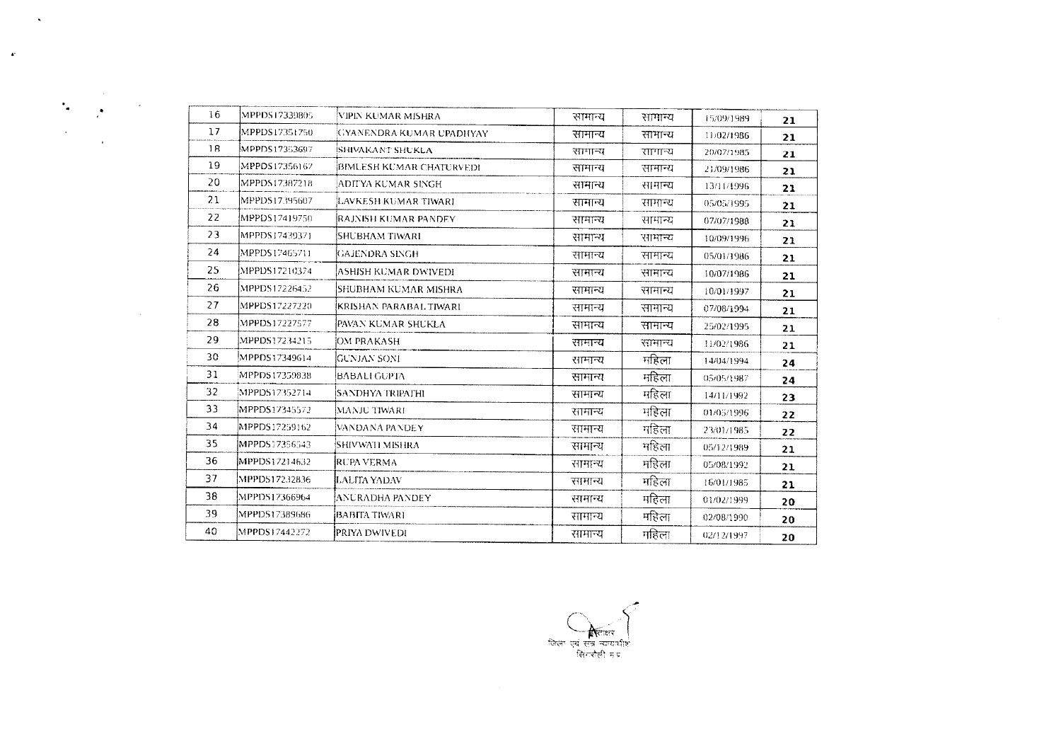| 16 | MPPDS17339805 | VIPIN KUMAR MISHRA       | सामान्य | सामान्य | 15/09/1989 | 21 |
|----|---------------|--------------------------|---------|---------|------------|----|
| 17 | MPPDS17351750 | GYANENDRA KUMAR UPADHYAY | सामान्य | सामान्य | 11/02/1986 | 21 |
| 18 | MPPDS17353697 | <b>SHIVAKANT SHUKLA</b>  | सामान्य | सामान्य | 20/07/1985 | 21 |
| 19 | MPPDS17356167 | BIMLESH KUMAR CHATURVEDI | सामान्य | सामान्य | 21/09/1986 | 21 |
| 20 | MPPDS17387218 | ADITYA KUMAR SINGH       | सामान्य | सामान्य | 13/11/1996 | 21 |
| 21 | MPPDS17395607 | LAVKESH KUMAR TIWARI     | सामान्य | सामान्य | 05/05/1995 | 21 |
| 22 | MPPDS17419750 | RAJNISH KUMAR PANDEY     | सामान्य | सामान्य | 07/07/1988 | 21 |
| 23 | MPPDS17439371 | SHUBHAM TIWARI           | सामान्य | सामान्य | 10/09/1996 | 21 |
| 24 | MPPDS17465711 | GAJENDRA SINGH           | सामान्य | सामान्य | 05/01/1986 | 21 |
| 25 | MPPDS17210374 | ASHISH KUMAR DWIVEDI     | सामान्य | सामान्य | 10/07/1986 | 21 |
| 26 | MPPDS17226452 | ISHUBHAM KUMAR MISHRA    | सामान्य | सामान्य | 10/01/1997 | 21 |
| 27 | MPPDS17227220 | KRISHAN PARABAL TIWARI   | सामान्य | सामान्य | 07/08/1994 | 21 |
| 28 | MPPD517227577 | [PAVAN KUMAR SHUKLA      | सामान्य | सामान्य | 25/02/1995 | 21 |
| 29 | MPPDS17234215 | OM PRAKASH               | सामान्य | सामान्य | 11/02/1986 | 21 |
| 30 | MPPDS17349614 | GUNJAN SONI              | सामान्य | महिला   | 14/04/1994 | 24 |
| 31 | MPPDS17359838 | BABALI GUPTA             | सामान्य | महिला   | 05/05/1987 | 24 |
| 32 | MPPDS17352714 | SANDHYA TRIPATHI         | सामान्य | महिला   | 14/11/1992 | 23 |
| 33 | MPPDS17345572 | MANJU TIWARI             | सामान्य | महिला   | 01/05/1996 | 22 |
| 34 | MPPDS17259162 | VANDANA PANDEY           | सामान्य | महिला   | 23/01/1985 | 22 |
| 35 | MPPDS17356543 | SHIVWATI MISHRA          | सामान्य | महिला   | 05/12/1989 | 21 |
| 36 | MPPDS17214632 | RUPA VERMA               | सामान्य | महिला   | 05/08/1992 | 21 |
| 37 | MPPDS17232836 | ILALITA YADAV            | सामान्य | महिला   | 16/01/1985 | 21 |
| 38 | MPPDS17366964 | ANURADHA PANDEY          | सामान्य | महिला   | 01/02/1999 | 20 |
| 39 | MPPDS17389686 | BABITA TIWARI            | सामान्य | महिला   | 02/08/1990 | 20 |
| 40 | MPPDS17442272 | PRIYA DWIVEDI            | सामान्य | गहिला   | 02/12/1997 | 20 |
|    |               |                          |         |         |            |    |

 $\mathbf{x}$ 

 $\sigma_{\rm{eff}}$ 

 $\mathcal{L}$ 

 $\sim$ 

 $\sim 10^{11}$ 

 $\mathbf{r}$ 

जिला एवं सन्न न्यायशीश<br>जिला एवं सन्न न्यायशीश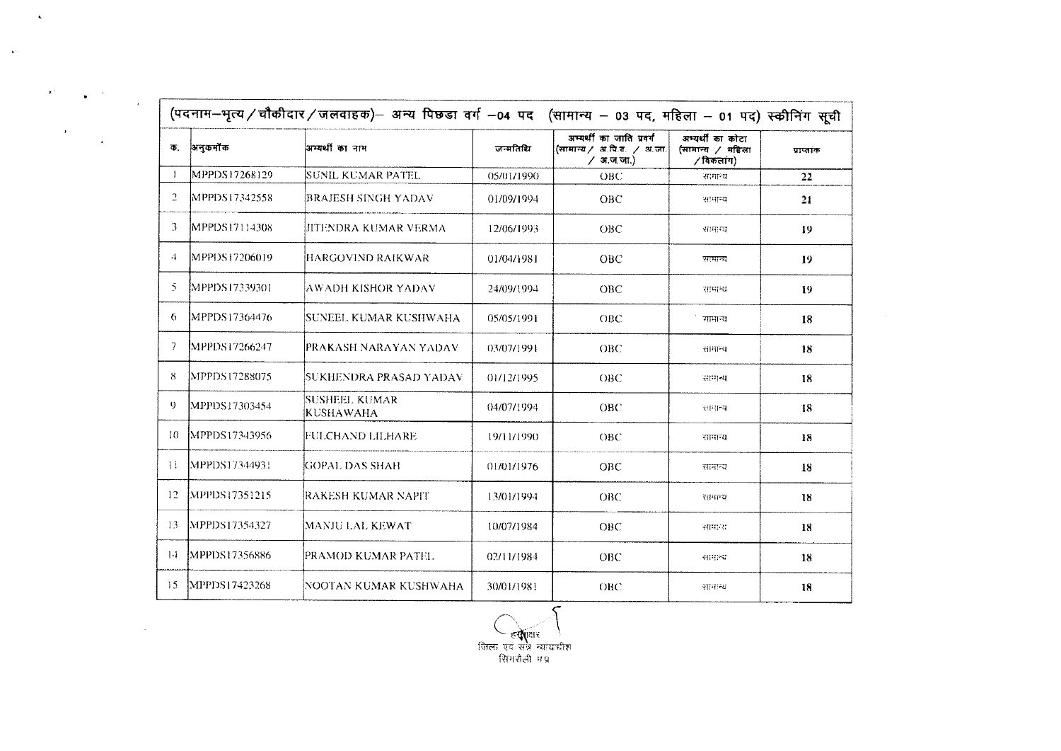| Φ.             | अनुकर्मों क     | अभ्यर्थी का नाम                   | जन्मतिथि   | अम्यर्थी का जाति प्रवर्ग<br>(सामान्य / अ.पि.व. / अ.जा.<br>$\angle$ अ.ज.जा.) | अभ्यर्थी का कोटा<br>(सामान्य / महिला<br>/ विकलांग) | प्राप्तांक |
|----------------|-----------------|-----------------------------------|------------|-----------------------------------------------------------------------------|----------------------------------------------------|------------|
| $\mathbf{I}$   | MPPDS17268129   | SUNIL KUMAR PATEL.                | 05/01/1990 | OBC                                                                         | सामान्य                                            | 22         |
| $\overline{a}$ | MPPDS17342558   | <b>BRAJESH SINGH YADAV</b>        | 01/09/1994 | OBC                                                                         | सामान्य                                            | 21         |
| 3.             | MPPDS17114308   | IITENDRA KUMAR VERMA              | 12/06/1993 | <b>OBC</b>                                                                  | सामान्य                                            | 19         |
| 4              | MPPDS17206019   | HARGOVIND RAIKWAR                 | 01/04/1981 | <b>OBC</b>                                                                  | सामान्य                                            | 19         |
| Ñ.             | MPPDS17339301   | AWADH KISHOR YADAV                | 24/09/1994 | OBC                                                                         | सामान्य                                            | 19         |
| 6              | MPPDS17364476   | SUNEEL KUMAR KUSHWAHA             | 05/05/1991 | OBC                                                                         | सामान्य                                            | 18         |
| 7.             | IMPPDS17266247  | PRAKASH NARAYAN YADAV             | 03/07/1991 | OBC.                                                                        | सामान्य                                            | 18         |
| 8.             | MPPDS17288075   | SUKHENDRA PRASAD YADAV            | 01/12/1995 | OBC                                                                         | सामान्य                                            | 18         |
| 9              | MPPDS17303454   | SUSHEEL KUMAR<br><b>KUSHAWAHA</b> | 04/07/1994 | <b>OBC</b>                                                                  | 전리적                                                | 18         |
| 10.            | MPPDS17343956   | IFULCHAND LILHARE                 | 19/11/1990 | <b>OBC</b>                                                                  | सामान्य                                            | 18         |
| $\mathbf{H}$   | MPPDS17344931   | IGOPAL DAS SHAH                   | 01/01/1976 | <b>OBC</b>                                                                  | सामन्य                                             | 18         |
| 12.            | [MPPDS17351215] | RAKESH KUMAR NAPIT                | 13/01/1994 | OBC                                                                         | सामान्य                                            | 18         |
| 13.            | MPPDS17354327   | MANJU LAL KEWAT                   | 10/07/1984 | <b>OBC</b>                                                                  | सामान्य                                            | 18         |
| $14 -$         | MPPDS17356886   | PRAMOD KUMAR PATEL                | 02/11/1984 | <b>OBC</b>                                                                  | सामन्य                                             | 18         |
| 15             | MPPDS17423268   | NOOTAN KUMAR KUSHWAHA             | 30/01/1981 | OBC                                                                         | सामान्य                                            | 18         |

 $\Delta$ 

 $\mathcal{F}^{\mathcal{F}}$ 

 $\bar{t}$ 

 $\rightarrow$  $\bullet$  .

 $\mathbf{r}$ 

 $\mathcal{L}^{\text{max}}_{\text{max}}$  , where  $\mathcal{L}^{\text{max}}_{\text{max}}$ 

 $\sim$  4%

िल्**या**क्षर \<br>जिला एवं संत्र न्यायाधीश<br>- सिंगशैली मग्न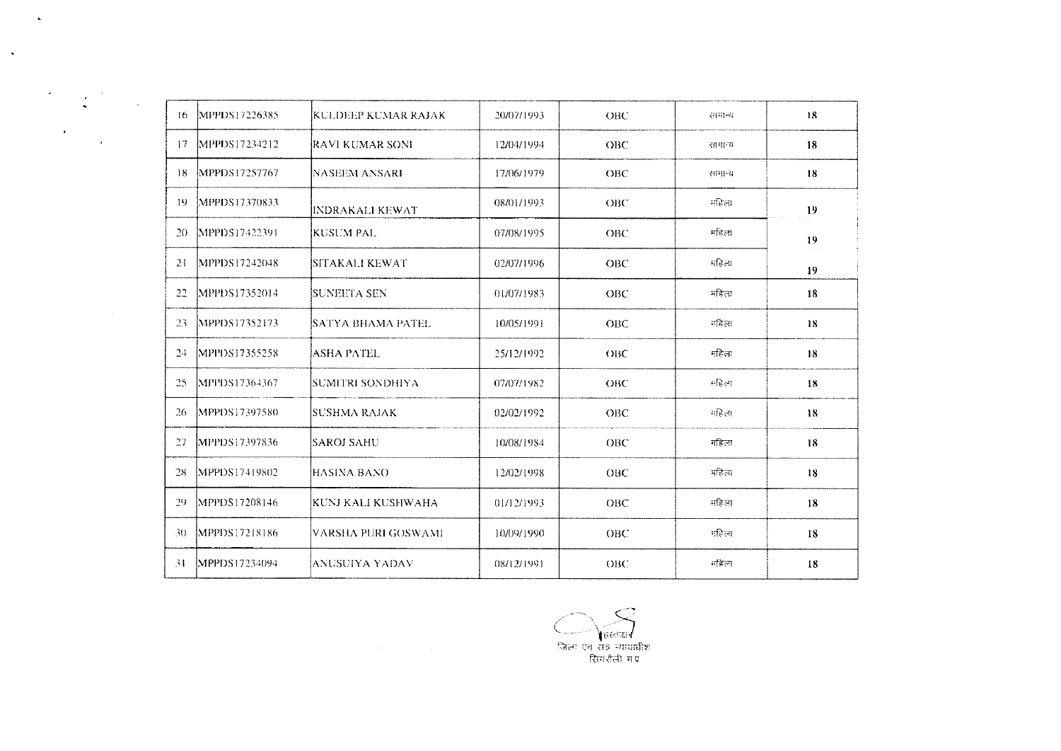| $\lambda$ | -16     | MPPDS17226385  | KULDEEP KUMAR RAJAK-  | 20/07/1993 | OBC        | समान्य  | 18 |
|-----------|---------|----------------|-----------------------|------------|------------|---------|----|
|           | 17      | MPPDS17234212  | RAVI KUMAR SONI       | 12/04/1994 | <b>OBC</b> | सामान्य | 18 |
|           | 18      | MPPDS17257767  | NASEEM ANSARI         | 17/06/1979 | OBC        | सामान्य | 18 |
|           | $\{9\}$ | MPPDS17370833  | INDRAKALI KEWAT       | 08/01/1993 | OBC        | महिला   | 19 |
|           | 20      | [MPPDS17422391 | KUSUM PAL             | 07/08/1995 | OBC        | महिला   | 19 |
|           | 21      | MPPDS17242048  | <b>SITAKALI KEWAT</b> | 02/07/1996 | <b>OBC</b> | महिला   | 19 |
|           | 22      | MPPDS17352014  | <b>SUNEETA SEN</b>    | 01/07/1983 | OBC        | नदिला   | 18 |
|           | 23      | MPPDS17352173  | SATYA BHAMA PATEL     | 10/05/1991 | OBC        | महिला   | 18 |
|           | 24      | MPPDS17355258  | <b>ASHA PATEL</b>     | 25/12/1992 | OBC        | महिला   | 18 |
|           | -25     | MPPDS17364367  | SUMITRI SONDHIYA      | 07/07/1982 | OBC        | महिला   | 18 |
|           | -26     | MPPDS17397580  | ISUSHMA RAJAK         | 02/02/1992 | <b>OBC</b> | महिला   | 18 |
|           | 27      | MPPDS17397836  | saroj sahu            | 10/08/1984 | OBC        | महिला   | 18 |
|           | 28      | MPPDS17419802  | IHASINA BANO          | 12/02/1998 | ОВС        | महिला   | 18 |
|           | -29     | MPPDS17208146  | KUNJ KALI KUSHWAHA    | 01/12/1993 | OBC        | महिला   | 18 |
|           | 30      | MPPDS17218186  | VARSHA PURI GOSWAMI   | 10/09/1990 | ОВС        | महिला   | 18 |
|           | 31      | MPPDS17234094  | IANUSUIYA YADAV       | 08/12/1991 | OBC        | ाहिला   | 18 |

 $\Delta$ 

 $\label{eq:2} \frac{d\mathbf{r}}{d\mathbf{r}} = \frac{1}{2}\sum_{i=1}^N \mathbf{r}_i \mathbf{r}_i \mathbf{r}_i$ 

 $\mathcal{F}^{\text{max}}_{\text{max}}$ 

 $\langle \cdot, \cdot \rangle$ 

े———े हिस्ताक्ष√<br>जिला एवं सत्र न्यायाधीश<br>- सिंगरौली म.प्र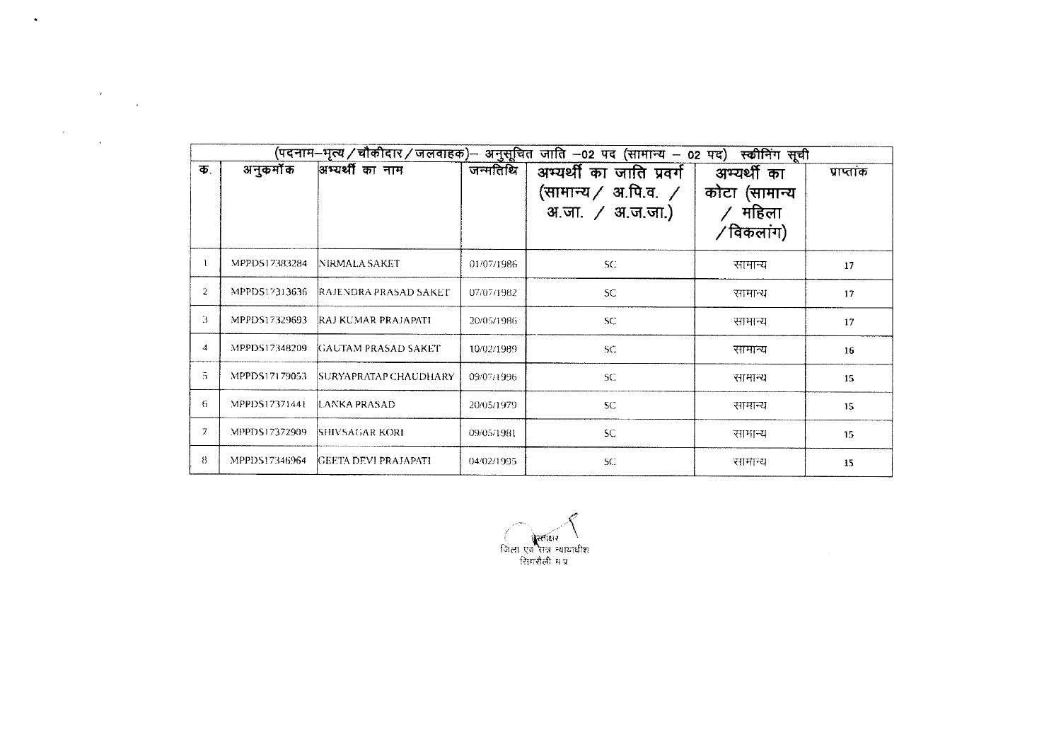| अनुकर्मोक<br>अम्यर्थी का नाम<br>जन्मतिथि<br>अभ्यर्थी का जाति प्रवर्ग  <br>क.<br>अभ्यर्थी का<br>(सामान्य $/$ अ.पि.व. $/$<br>कोटा (सामान्य<br>$/$ महिला<br>अ.जा. / अ.ज.जा.)<br>/विकलांग)<br>MPPDS17383284<br>-1<br>NIRMALA SAKET<br>SC.<br>01/07/1986<br>सामान्य<br>$\overline{2}$<br>MPPDS17313636<br>RAJENDRA PRASAD SAKET<br>SC.<br>07/07/1982<br>सामान्य<br>3<br>MPPDS17329693<br>RAJ KUMAR PRAJAPATI<br>${\sf SC}$<br>20/05/1986<br>सामान्य<br>$\overline{4}$<br>MPPDS17348209<br>GAUTAM PRASAD SAKET<br>10/02/1989<br>SC.<br>सामान्य<br>$\overline{5}$<br>MPPDS17179053<br>SURYAPRATAP CHAUDHARY<br>09/07/1996<br>SC.<br>सामान्य<br>6<br>MPPDS17371441<br>LANKA PRASAD<br><b>SC</b><br>20/05/1979<br>सामान्य<br>7<br>MPPDS17372909<br>SHIVSAGAR KORI<br><b>SC</b><br>09/05/1981<br>सामान्य<br>8<br>MPPDS17346964<br><b>GEETA DEVI PRAJAPATI</b><br>04/02/1995 |  |  | (पदनाम–भृत्य / चौकीदार / जलवाहक)– अनुसूचित जाति –02 पद (सामान्य – 02 पद) | स्कीनिंग सूची |            |
|-------------------------------------------------------------------------------------------------------------------------------------------------------------------------------------------------------------------------------------------------------------------------------------------------------------------------------------------------------------------------------------------------------------------------------------------------------------------------------------------------------------------------------------------------------------------------------------------------------------------------------------------------------------------------------------------------------------------------------------------------------------------------------------------------------------------------------------------------------------------|--|--|--------------------------------------------------------------------------|---------------|------------|
|                                                                                                                                                                                                                                                                                                                                                                                                                                                                                                                                                                                                                                                                                                                                                                                                                                                                   |  |  |                                                                          |               | प्राप्तांक |
|                                                                                                                                                                                                                                                                                                                                                                                                                                                                                                                                                                                                                                                                                                                                                                                                                                                                   |  |  |                                                                          |               | 17         |
|                                                                                                                                                                                                                                                                                                                                                                                                                                                                                                                                                                                                                                                                                                                                                                                                                                                                   |  |  |                                                                          |               | 17         |
|                                                                                                                                                                                                                                                                                                                                                                                                                                                                                                                                                                                                                                                                                                                                                                                                                                                                   |  |  |                                                                          |               | 17         |
|                                                                                                                                                                                                                                                                                                                                                                                                                                                                                                                                                                                                                                                                                                                                                                                                                                                                   |  |  |                                                                          |               | 16         |
|                                                                                                                                                                                                                                                                                                                                                                                                                                                                                                                                                                                                                                                                                                                                                                                                                                                                   |  |  |                                                                          |               | 15         |
|                                                                                                                                                                                                                                                                                                                                                                                                                                                                                                                                                                                                                                                                                                                                                                                                                                                                   |  |  |                                                                          |               | 15         |
|                                                                                                                                                                                                                                                                                                                                                                                                                                                                                                                                                                                                                                                                                                                                                                                                                                                                   |  |  |                                                                          |               | 15         |
|                                                                                                                                                                                                                                                                                                                                                                                                                                                                                                                                                                                                                                                                                                                                                                                                                                                                   |  |  | SC.                                                                      | सामान्य       | 15         |

 $\sim$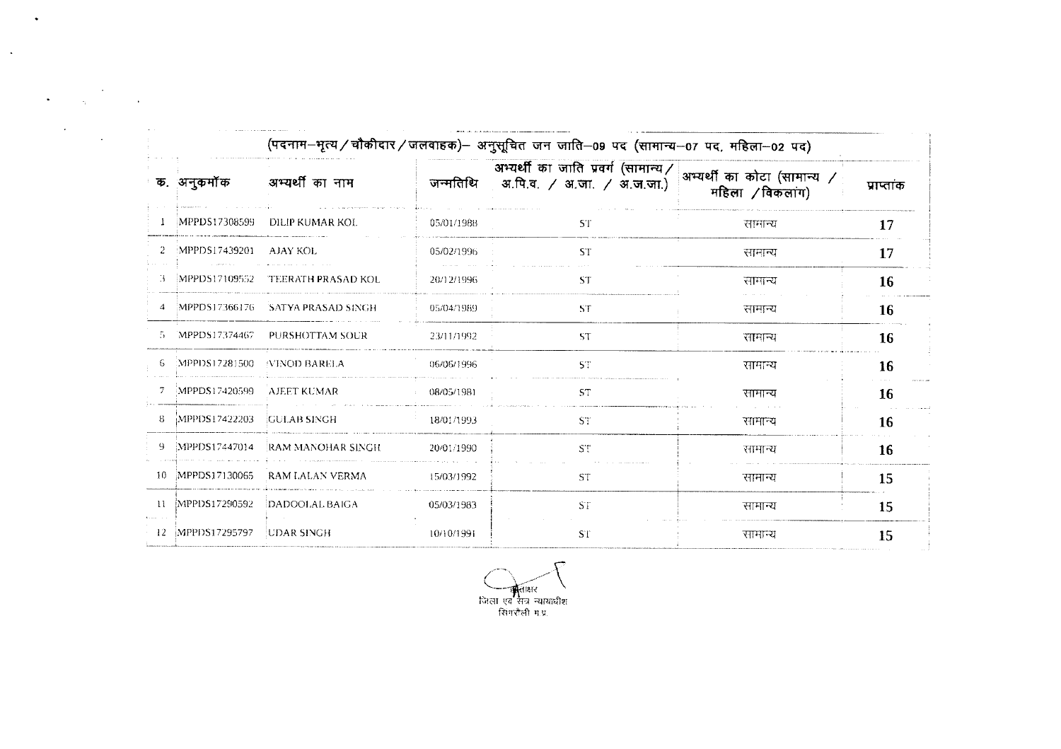|        |                  |                                  |            | (पदनाम–भृत्य / चौकीदार / जलवाहक)– अनुसूचित जन जाति–09 पद (सामान्य–07 पद, महिला–02 पद)        |                 |            |
|--------|------------------|----------------------------------|------------|----------------------------------------------------------------------------------------------|-----------------|------------|
|        | क. अनुकर्मोंक    | अभ्यर्थी का नाम                  | जन्मतिथि   | अभ्यर्थी का जाति प्रवर्ग (सामान्य/ अभ्यर्थी का कोटा (सामान्य /<br>अ.पि.व. / अ.जा. / अ.ज.जा.) | महिला /विकलांग) | प्राप्तांक |
|        | MPPDS17308599    | DILIP KUMAR KOL                  | 05/01/1988 | <b>ST</b>                                                                                    | सामान्य         | 17         |
|        | MPPDS17439201    | - AJAY KOL                       | 05/02/1996 | <b>ST</b>                                                                                    | सानान्य         | 17         |
|        | MPPDS17109552    | <b>TEERATH PRASAD KOL</b>        | 20/12/1996 | ST.                                                                                          | सामान्य         | <b>16</b>  |
|        |                  | MPPDS17366176 SATYA PRASAD SINGH | 05/04/1989 | ST                                                                                           | सामान्य         | 16         |
|        | MPPDS17374467    | PURSHOTTAM SOUR                  | 23/11/1992 | <b>ST</b>                                                                                    | सामान्य         | 16         |
|        | :MPPDS17281500   | <b><i>NINOD BARELA</i></b>       | 06/06/1996 | ST                                                                                           | सामान्य         | 16         |
|        | MPPDS17420599    | AJEET KUMAR                      | 08/05/1981 | <b>ST</b>                                                                                    | सामान्य         | 16         |
| 8.     | MPPDS17422203    | <b>GULAB SINGH</b>               | 18/01/1993 | ST.                                                                                          | सामान्य         | 16         |
|        | MPPDS17447014    | RAM MANOHAR SINGH                | 20/01/1990 | <b>ST</b>                                                                                    | सामान्य         | 16         |
| $10 -$ | MPPDS17130065    | RAM LALAN VERMA                  | 15/03/1992 | <b>ST</b>                                                                                    | सामान्य         | 15         |
| $11 -$ | MPPDS17290592    | DADOOLAL BAIGA                   | 05/03/1983 | ST                                                                                           | सामान्य         | 15         |
|        | 12 MPPDS17295797 | UDAR SINGH                       | 10/10/1991 | <b>ST</b>                                                                                    | सामान्य         | 15         |

 $\bullet$ 

 $\frac{1}{2} \sum_{i=1}^n \frac{1}{2} \sum_{j=1}^n \frac{1}{2} \sum_{j=1}^n \frac{1}{2} \sum_{j=1}^n \frac{1}{2} \sum_{j=1}^n \frac{1}{2} \sum_{j=1}^n \frac{1}{2} \sum_{j=1}^n \frac{1}{2} \sum_{j=1}^n \frac{1}{2} \sum_{j=1}^n \frac{1}{2} \sum_{j=1}^n \frac{1}{2} \sum_{j=1}^n \frac{1}{2} \sum_{j=1}^n \frac{1}{2} \sum_{j=1}^n \frac{1}{2} \sum_{j=$ 

 $\label{eq:2} \frac{1}{2} \sum_{i=1}^n \frac{1}{2} \sum_{j=1}^n \frac{1}{2} \sum_{j=1}^n \frac{1}{2} \sum_{j=1}^n \frac{1}{2} \sum_{j=1}^n \frac{1}{2} \sum_{j=1}^n \frac{1}{2} \sum_{j=1}^n \frac{1}{2} \sum_{j=1}^n \frac{1}{2} \sum_{j=1}^n \frac{1}{2} \sum_{j=1}^n \frac{1}{2} \sum_{j=1}^n \frac{1}{2} \sum_{j=1}^n \frac{1}{2} \sum_{j=1}^n \frac{1}{$ 

 $\mathcal{A}$ 

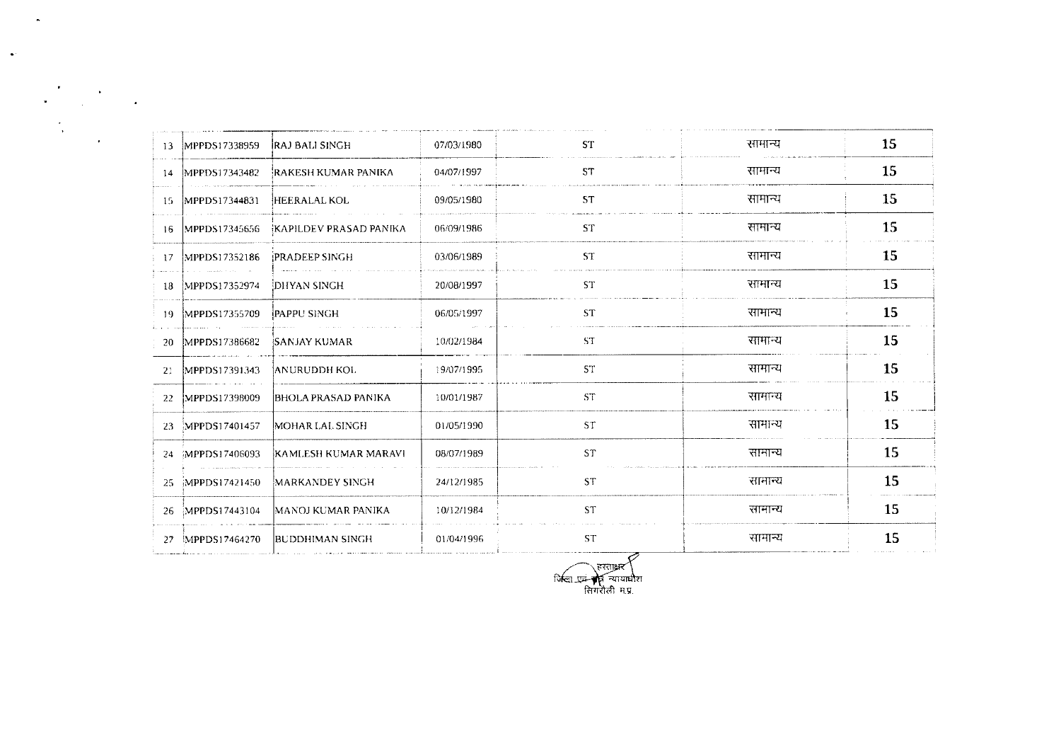| 13   | MPPDS17338959    | <b>RAJ BALI SINGH</b>      | 07/03/1980 | <b>ST</b> | सामान्य | 15 |
|------|------------------|----------------------------|------------|-----------|---------|----|
| 14   | MPPDS17343482    | RAKESH KUMAR PANIKA        | 04/07/1997 | <b>ST</b> | सामान्य | 15 |
| 15.  | MPPDS17344831    | <b>HEERALAL KOL</b>        | 09/05/1980 | <b>ST</b> | सामान्य | 15 |
| 16   | MPPDS17345656    | KAPILDEV PRASAD PANIKA     | 06/09/1986 | <b>ST</b> | सामान्य | 15 |
| 17   | MPPDS17352186    | <b>PRADEEP SINGH</b>       | 03/06/1989 | <b>ST</b> | सामान्य | 15 |
|      | 18 MPPDS17352974 | DHYAN SINGH                | 20/08/1997 | <b>ST</b> | सामान्य | 15 |
|      | 19 MPPDS17355709 | (PAPPU SINGH               | 06/05/1997 | <b>ST</b> | सामान्य | 15 |
| 20   | MPPDS17386682    | <b>SANJAY KUMAR</b>        | 10/02/1984 | <b>ST</b> | सामान्य | 15 |
| -21- | MPPDS17391343    | <b>ANURUDDH KOL</b>        | 19/07/1995 | <b>ST</b> | सामान्य | 15 |
| 22   | MPPDS17398009    | <b>BHOLA PRASAD PANIKA</b> | 10/01/1987 | <b>ST</b> | सामान्य | 15 |
| 23   | MPPDS17401457    | MOHAR LAL SINGH            | 01/05/1990 | <b>ST</b> | सामान्य | 15 |
|      | 24 MPPDS17406093 | KAMLESH KUMAR MARAVI       | 08/07/1989 | ST        | सामान्य | 15 |
| 25   | MPPDS17421450    | MARKANDEY SINGH            | 24/12/1985 | <b>ST</b> | सामान्य | 15 |
|      | 26 MPPDS17443104 | MANOJ KUMAR PANIKA         | 10/12/1984 | <b>ST</b> | सामान्य | 15 |
|      | 27 MPPDS17464270 | BUDDHIMAN SINGH            | 01/04/1996 | <b>ST</b> | सामान्य | 15 |

 $\mathbf{A}$ 

 $\sim$   $\omega$ 

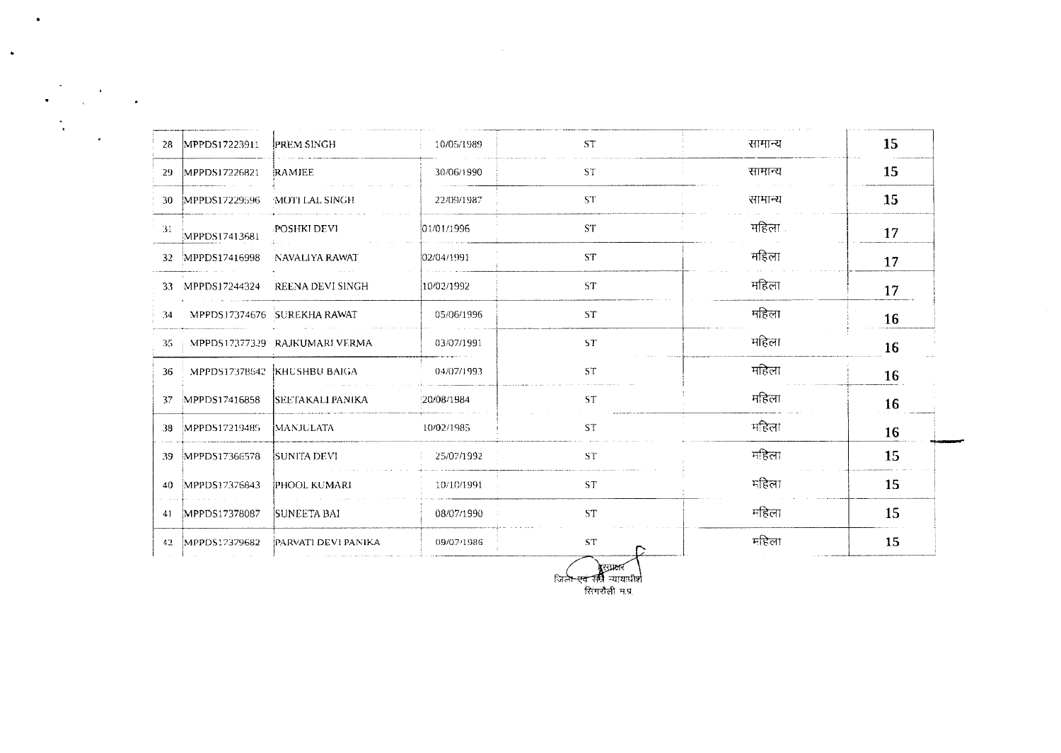| 28 MPPDS17223911               | <b>PREM SINGH</b>              | 10/05/1989 | ST.       | सामान्य | 15 |
|--------------------------------|--------------------------------|------------|-----------|---------|----|
| 29 MPPDS17226821               | RAMJEE                         | 30/06/1990 | ST.       | सामान्य | 15 |
| 30 MPPDS17229596               | MOTHLAL SINGH                  | 22/09/1987 | ST.       | सामान्य | 15 |
| -31<br>MPPDS17413681           | <b>POSHKI DEVI</b>             | 01/01/1996 | ST.       | महिला   | 17 |
| 32 MPPDS17416998               | NAVALIYA RAWAT                 | 02/04/1991 | <b>ST</b> | महिला   | 17 |
| 33 MPPDS17244324               | REENA DEVI SINGH               | 10/02/1992 | ST.       | महिला   | 17 |
| 34 MPPDS17374676 SUREKHA RAWAT |                                | 05/06/1996 | ST.       | महिला   | 16 |
| 35.                            | MPPD\$17377329 RAJKUMARI VERMA | 03/07/1991 | ST.       | महिला   | 16 |
| 36                             | MPPDS17378642 KHUSHBU BAIGA    | 04/07/1993 | <b>ST</b> | महिला   | 16 |
| MPPDS17416858<br>37            | <b>SEETAKALI PANIKA</b>        | 20/08/1984 | <b>ST</b> | महिला   | 16 |
| 38 MPPDS17219485               | <b>MANJULATA</b>               | 10/02/1985 | <b>ST</b> | महिला   | 16 |
| 39 MPPDS17366578               | SUNITA DEVI                    | 25/07/1992 | ST.       | महिला   | 15 |
| 40 MPPDS17376843               | <b>PHOOL KUMARI</b>            | 10/10/1991 | ST.       | महिला   | 15 |
| 41 MPPDS17378087               | <b>SUNEETA BAI</b>             | 08/07/1990 | ST.       | महिला   | 15 |
| 42 MPPDS17379682               | <b>PARVATI DEVI PANIKA</b>     | 09/07/1986 | <b>ST</b> | महिला   | 15 |

 $\sim 10^{-1}$ 

 $\bullet$ 

 $\sim$ 

्रीउपक्षर<br>जिल<del>ा एवं सर्व</del>ि न्यायाधीश<br>सिंगरौली म.प्र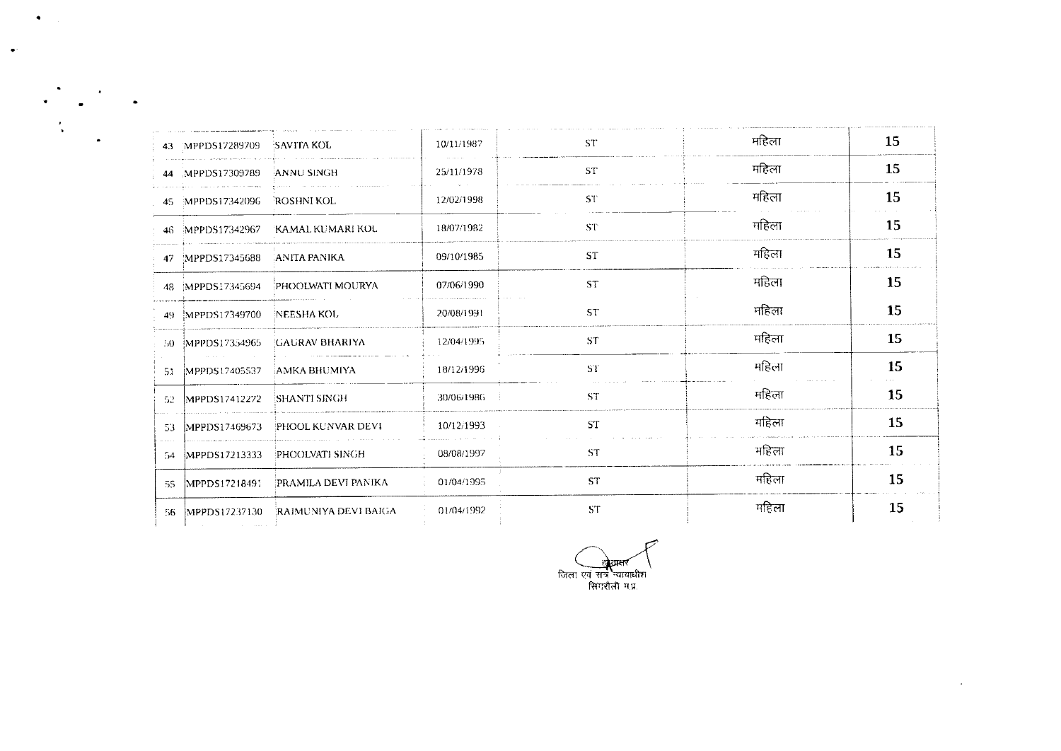|     | 43 MPPDS17289709 SAVITA KOL |                                   | 10/11/1987 | <b>ST</b>       | महिला | 15 |
|-----|-----------------------------|-----------------------------------|------------|-----------------|-------|----|
|     | 44 MPPDS17309789            | ANNU SINGH                        | 25/11/1978 | ST.             | महिला | 15 |
|     | 45 MPPDS17342096 ROSHNI KOL |                                   | 12/02/1998 | ST <sup>-</sup> | महिला | 15 |
|     |                             | 46 MPPDS17342967 KAMAL KUMARI KOL | 18/07/1982 | <b>ST</b>       | महिला | 15 |
|     | 47 MPPDS17345688            | <b>ANITA PANIKA</b>               | 09/10/1985 | <b>ST</b>       | महिला | 15 |
|     | 48 MPPDS17345694            | PHOOLWATI MOURYA                  | 07/06/1990 | <b>ST</b>       | महिला | 15 |
|     | 49 MPPDS17349700            | NEESHA KOL                        | 20/08/1991 | <b>ST</b>       | महिला | 15 |
|     | 50 MPPDS17354965            | <b>GAURAV BHARIYA</b>             | 12/04/1995 | <b>ST</b>       | महिला | 15 |
| 51. | MPPDS17405537               | AMKA BHUMIYA                      | 18/12/1996 | ST.             | महिला | 15 |
|     | 52 MPPDS17412272            | 'SHANTI SINGH                     | 30/06/1986 | <b>ST</b>       | महिला | 15 |
| 53. | MPPDS17469673               | PHOOL KUNVAR DEVI                 | 10/12/1993 | <b>ST</b>       | महिला | 15 |
| -54 | MPPDS17213333               | PHOOLVATI SINGH                   | 08/08/1997 | <b>ST</b>       | महिला | 15 |
| -55 | MPPDS17218491               | PRAMILA DEVI PANIKA               | 01/04/1995 | <b>ST</b>       | महिला | 15 |
| -56 | MPPDS17237130               | RAIMUNIYA DEVI BAIGA              | 01/04/1992 | <b>ST</b>       | महिला | 15 |

 $\bullet$ 

 $\ddot{\phantom{1}}$ 

खेताकर जिला एवं सत्र न्यायाधीश<br>सिगरौली म.प्र.

 $\sim 10$